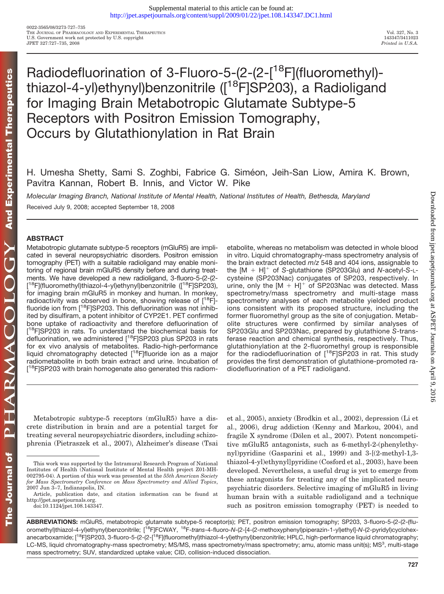# Radiodefluorination of 3-Fluoro-5-(2-(2-[<sup>18</sup>F](fluoromethyl)thiazol-4-yl)ethynyl)benzonitrile ([<sup>18</sup>F]SP203), a Radioligand for Imaging Brain Metabotropic Glutamate Subtype-5 Receptors with Positron Emission Tomography, Occurs by Glutathionylation in Rat Brain

H. Umesha Shetty, Sami S. Zoghbi, Fabrice G. Siméon, Jeih-San Liow, Amira K. Brown, Pavitra Kannan, Robert B. Innis, and Victor W. Pike

*Molecular Imaging Branch, National Institute of Mental Health, National Institutes of Health, Bethesda, Maryland* Received July 9, 2008; accepted September 18, 2008

# **ABSTRACT**

Metabotropic glutamate subtype-5 receptors (mGluR5) are implicated in several neuropsychiatric disorders. Positron emission tomography (PET) with a suitable radioligand may enable monitoring of regional brain mGluR5 density before and during treatments. We have developed a new radioligand, 3-fluoro-5-(2-(2- [<sup>18</sup>F](fluoromethyl)thiazol-4-yl)ethynyl)benzonitrile ([<sup>18</sup>F]SP203), for imaging brain mGluR5 in monkey and human. In monkey, radioactivity was observed in bone, showing release of  $[18F]$ fluoride ion from [<sup>18</sup>F]SP203. This defluorination was not inhibited by disulfiram, a potent inhibitor of CYP2E1. PET confirmed bone uptake of radioactivity and therefore defluorination of [<sup>18</sup>F]SP203 in rats. To understand the biochemical basis for defluorination, we administered [<sup>18</sup>F]SP203 plus SP203 in rats for ex vivo analysis of metabolites. Radio-high-performance liquid chromatography detected [18F]fluoride ion as a major radiometabolite in both brain extract and urine. Incubation of [<sup>18</sup>F]SP203 with brain homogenate also generated this radiometabolite, whereas no metabolism was detected in whole blood in vitro. Liquid chromatography-mass spectrometry analysis of the brain extract detected *m*/*z* 548 and 404 ions, assignable to the [M H] of *S*-glutathione (SP203Glu) and *N*-acetyl-*S*-Lcysteine (SP203Nac) conjugates of SP203, respectively. In urine, only the  $[M + H]$ <sup>+</sup> of SP203Nac was detected. Mass spectrometry/mass spectrometry and multi-stage mass spectrometry analyses of each metabolite yielded product ions consistent with its proposed structure, including the former fluoromethyl group as the site of conjugation. Metabolite structures were confirmed by similar analyses of SP203Glu and SP203Nac, prepared by glutathione *S*-transferase reaction and chemical synthesis, respectively. Thus, glutathionylation at the 2-fluoromethyl group is responsible for the radiodefluorination of  $[18F]$ SP203 in rat. This study provides the first demonstration of glutathione-promoted radiodefluorination of a PET radioligand.

Metabotropic subtype-5 receptors (mGluR5) have a discrete distribution in brain and are a potential target for treating several neuropsychiatric disorders, including schizophrenia (Pietraszek et al., 2007), Alzheimer's disease (Tsai et al., 2005), anxiety (Brodkin et al., 2002), depression (Li et al., 2006), drug addiction (Kenny and Markou, 2004), and fragile X syndrome (Dölen et al., 2007). Potent noncompetitive mGluR5 antagonists, such as 6-methyl-2-(phenylethynyl)pyridine (Gasparini et al., 1999) and 3-[(2-methyl-1,3 thiazol-4-yl)ethynyl]pyridine (Cosford et al., 2003), have been developed. Nevertheless, a useful drug is yet to emerge from these antagonists for treating any of the implicated neuropsychiatric disorders. Selective imaging of mGluR5 in living human brain with a suitable radioligand and a technique such as positron emission tomography (PET) is needed to

This work was supported by the Intramural Research Program of National Institutes of Health (National Institute of Mental Health project Z01-MH-002795-04). A portion of this work was presented at the *55th American Society for Mass Spectrometry Conference on Mass Spectrometry and Allied Topics*, 2007 Jun 3–7, Indianapolis, IN.

Article, publication date, and citation information can be found at http://jpet.aspetjournals.org.

doi:10.1124/jpet.108.143347.

**ABBREVIATIONS:** mGluR5, metabotropic glutamate subtype-5 receptor(s); PET, positron emission tomography; SP203, 3-fluoro-5-(2-(2-(fluoromethyl)thiazol-4-yl)ethynyl)benzonitrile; [18F]FCWAY, 18F-*trans*-4-fluoro-*N*-(2-[4-(2-methoxyphenyl)piperazin-1-yl)ethyl]-*N*-(2-pyridyl)cyclohexanecarboxamide; [<sup>18</sup>F]SP203, 3-fluoro-5-(2-(2-[<sup>18</sup>F](fluoromethyl)thiazol-4-yl)ethynyl)benzonitrile; HPLC, high-performance liquid chromatography; LC-MS, liquid chromatography-mass spectrometry; MS/MS, mass spectrometry/mass spectrometry; amu, atomic mass unit(s); MS<sup>3</sup>, multi-stage mass spectrometry; SUV, standardized uptake value; CID, collision-induced dissociation.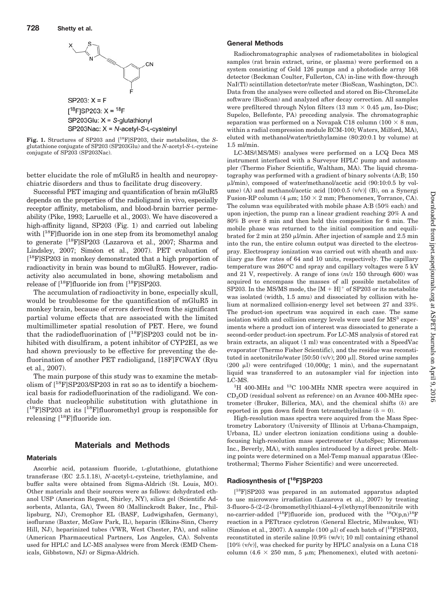



better elucidate the role of mGluR5 in health and neuropsychiatric disorders and thus to facilitate drug discovery.

Successful PET imaging and quantification of brain mGluR5 depends on the properties of the radioligand in vivo, especially receptor affinity, metabolism, and blood-brain barrier permeability (Pike, 1993; Laruelle et al., 2003). We have discovered a high-affinity ligand, SP203 (Fig. 1) and carried out labeling with  $[18F]$ fluoride ion in one step from its bromomethyl analog to generate [18F]SP203 (Lazarova et al., 2007; Sharma and Lindsley, 2007; Siméon et al., 2007). PET evaluation of [ 18F]SP203 in monkey demonstrated that a high proportion of radioactivity in brain was bound to mGluR5. However, radioactivity also accumulated in bone, showing metabolism and release of  $[$ <sup>18</sup>F]fluoride ion from  $[$ <sup>18</sup>F]SP203.

The accumulation of radioactivity in bone, especially skull, would be troublesome for the quantification of mGluR5 in monkey brain, because of errors derived from the significant partial volume effects that are associated with the limited multimillimeter spatial resolution of PET. Here, we found that the radiodefluorination of  $[^{18}F]$ SP203 could not be inhibited with disulfiram, a potent inhibitor of CYP2EI, as we had shown previously to be effective for preventing the defluorination of another PET radioligand, [18F]FCWAY (Ryu et al., 2007).

The main purpose of this study was to examine the metabolism of [18F]SP203/SP203 in rat so as to identify a biochemical basis for radiodefluorination of the radioligand. We conclude that nucleophilic substitution with glutathione in [<sup>18</sup>F]SP203 at its [<sup>18</sup>F]fluoromethyl group is responsible for releasing  $[$ <sup>18</sup>F]fluoride ion.

# **Materials and Methods**

#### **Materials**

Ascorbic acid, potassium fluoride, L-glutathione, glutathione transferase (EC 2.5.1.18), *N*-acetyl-L-cysteine, triethylamine, and buffer salts were obtained from Sigma-Aldrich (St. Louis, MO). Other materials and their sources were as follows: dehydrated ethanol USP (American Regent, Shirley, NY), silica gel (Scientific Adsorbents, Atlanta, GA), Tween 80 (Mallinckrodt Baker, Inc., Phillipsburg, NJ), Cremophor EL (BASF, Ludwigshafen, Germany), isoflurane (Baxter, McGaw Park, IL), heparin (Elkins-Sinn, Cherry Hill, NJ), heparinized tubes (VWR, West Chester, PA), and saline (American Pharmaceutical Partners, Los Angeles, CA). Solvents used for HPLC and LC-MS analyses were from Merck (EMD Chemicals, Gibbstown, NJ) or Sigma-Aldrich.

#### **General Methods**

Radiochromatographic analyses of radiometabolites in biological samples (rat brain extract, urine, or plasma) were performed on a system consisting of Gold 126 pumps and a photodiode array 168 detector (Beckman Coulter, Fullerton, CA) in-line with flow-through NaI(Tl) scintillation detector/rate meter (BioScan, Washington, DC). Data from the analyses were collected and stored on Bio-ChromeLite software (BioScan) and analyzed after decay correction. All samples were prefiltered through Nylon filters (13 mm  $\times$  0.45 µm, Iso-Disc; Supelco, Bellefonte, PA) preceding analysis. The chromatographic separation was performed on a Novapak C18 column ( $100 \times 8$  mm, within a radial compression module RCM-100; Waters, Milford, MA), eluted with methanol/water/triethylamine (80:20:0.1 by volume) at 1.5 ml/min.

LC-MS/(MS/MS) analyses were performed on a LCQ Deca MS instrument interfaced with a Surveyor HPLC pump and autosampler (Thermo Fisher Scientific, Waltham, MA). The liquid chromatography was performed with a gradient of binary solvents (A:B; 150 l/min), composed of water/methanol/acetic acid (90:10:0.5 by volume) (A) and methanol/acetic acid [100:0.5 (v/v)] (B), on a Synergi Fusion-RP column  $(4 \mu m; 150 \times 2 \text{ mm};$  Phenomenex, Torrance, CA). The column was equilibrated with mobile phase A:B (50% each) and upon injection, the pump ran a linear gradient reaching 20% A and 80% B over 8 min and then held this composition for 6 min. The mobile phase was returned to the initial composition and equilibrated for 2 min at 250  $\mu$ *l*/min. After injection of sample and 2.5 min into the run, the entire column output was directed to the electrospray. Electrospray ionization was carried out with sheath and auxiliary gas flow rates of 64 and 10 units, respectively. The capillary temperature was 260°C and spray and capillary voltages were 5 kV and 21 V, respectively. A range of ions (*m*/*z* 150 through 600) was acquired to encompass the masses of all possible metabolites of SP203. In the MS/MS mode, the  $[M + H]$ <sup>+</sup> of SP203 or its metabolite was isolated (width, 1.5 amu) and dissociated by collision with helium at normalized collision-energy level set between 27 and 33%. The product-ion spectrum was acquired in each case. The same isolation width and collision energy levels were used for MS<sup>3</sup> experiments where a product ion of interest was dissociated to generate a second-order product-ion spectrum. For LC-MS analysis of stored rat brain extracts, an aliquot (1 ml) was concentrated with a SpeedVac evaporator (Thermo Fisher Scientific), and the residue was reconstituted in acetonitrile/water  $[50:50 \, (v/v); 200 \, \mu]$ . Stored urine samples (200 µl) were centrifuged (10,000g; 1 min), and the supernatant liquid was transferred to an autosampler vial for injection into LC-MS.

<sup>1</sup>H 400-MHz and <sup>13</sup>C 100-MHz NMR spectra were acquired in  $CD<sub>3</sub>OD$  (residual solvent as reference) on an Avance 400-MHz spectrometer (Bruker, Billerica, MA), and the chemical shifts  $(\delta)$  are reported in ppm down field from tetramethylsilane ( $\delta = 0$ ).

High-resolution mass spectra were acquired from the Mass Spectrometry Laboratory (University of Illinois at Urbana-Champaign, Urbana, IL) under electron ionization conditions using a doublefocusing high-resolution mass spectrometer (AutoSpec; Micromass Inc., Beverly, MA), with samples introduced by a direct probe. Melting points were determined on a Mel-Temp manual apparatus (Electrothermal; Thermo Fisher Scientific) and were uncorrected.

## **Radiosynthesis of [18F]SP203**

[ 18F]SP203 was prepared in an automated apparatus adapted to use microwave irradiation (Lazarova et al., 2007) by treating 3-fluoro-5-(2-(2-(bromomethyl)thiazol-4-yl)ethynyl)benzonitrile with no-carrier-added [<sup>18</sup>F]fluoride ion, produced with the <sup>18</sup>O(p,n)<sup>18</sup>F reaction in a PETtrace cyclotron (General Electric, Milwaukee, WI) (Siméon et al., 2007). A sample (100  $\mu$ l) of each batch of [<sup>18</sup>F]SP203, reconstituted in sterile saline [0.9% (w/v); 10 ml] containing ethanol  $[10\% (v/v)]$ , was checked for purity by HPLC analysis on a Luna C18 column (4.6  $\times$  250 mm, 5 µm; Phenomenex), eluted with acetoni-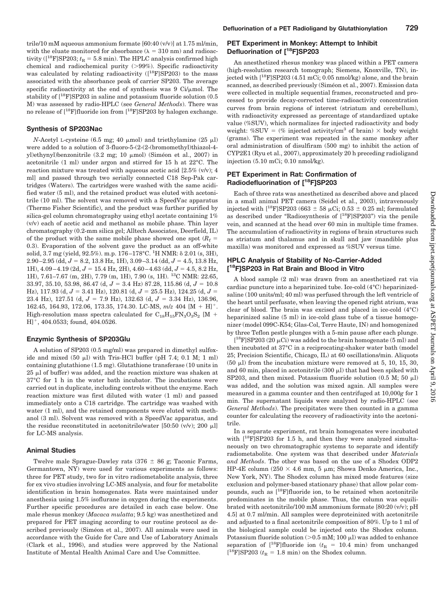#### **Synthesis of SP203Nac**

*N*-Acetyl L-cysteine (6.5 mg; 40  $\mu$ mol) and triethylamine (25  $\mu$ l) were added to a solution of 3-fluoro-5-(2-(2-(bromomethyl)thiazol-4 yl)ethynyl)benzonitrile (3.2 mg; 10 µmol) (Siméon et al., 2007) in acetonitrile (1 ml) under argon and stirred for 15 h at 22°C. The reaction mixture was treated with aqueous acetic acid  $[2.5\% (v/v); 4]$ ml] and passed through two serially connected C18 Sep-Pak cartridges (Waters). The cartridges were washed with the same acidified water (5 ml), and the retained product was eluted with acetonitrile (10 ml). The solvent was removed with a SpeedVac apparatus (Thermo Fisher Scientific), and the product was further purified by silica-gel column chromatography using ethyl acetate containing 1% (v/v) each of acetic acid and methanol as mobile phase. Thin layer chromatography (0.2-mm silica gel; Alltech Associates, Deerfield, IL) of the product with the same mobile phase showed one spot  $(R_f =$ 0.3). Evaporation of the solvent gave the product as an off-white solid, 3.7 mg (yield, 92.5%). m.p. 176-178°C. <sup>1</sup>H NMR: δ 2.01 (s, 3H),  $2.90 - 2.95$  (dd,  $J = 8.2$ , 13.8 Hz, 1H),  $3.09 - 3.14$  (dd,  $J = 4.5$ , 13.8 Hz, 1H),  $4.09 - 4.19$  (2d,  $J = 15.4$  Hz, 2H),  $4.60 - 4.63$  (dd,  $J = 4.5$ , 8.2 Hz, 1H), 7.61–7.67 (m, 2H), 7.79 (m, 1H), 7.90 (s, 1H). 13C NMR: 22.65, 33.97, 35.10, 53.98, 86.47 (d,  $J = 3.4$  Hz) 87.28, 115.86 (d,  $J = 10.8$ Hz), 117.93 (d,  $J = 3.41$  Hz), 120.81 (d,  $J = 25.5$  Hz), 124.25 (d,  $J =$ 23.4 Hz),  $127.51$  (d,  $J = 7.9$  Hz),  $132.63$  (d,  $J = 3.34$  Hz),  $136.96$ , 162.45, 164.93, 172.06, 173.35, 174.30. LC-MS,  $m/z$  404 [M + H]<sup>+</sup>. High-resolution mass spectra calculated for  $C_{18}H_{15}FN_3O_3S_2$  [M +  $H$ <sup>+</sup>, 404.0533; found, 404.0526.

#### **Enzymic Synthesis of SP203Glu**

A solution of SP203 (0.5 mg/ml) was prepared in dimethyl sulfoxide and mixed  $(50 \mu l)$  with Tris-HCl buffer (pH 7.4; 0.1 M; 1 ml) containing glutathione (1.5 mg). Glutathione transferase (10 units in  $25 \mu$  of buffer) was added, and the reaction mixture was shaken at 37°C for 1 h in the water bath incubator. The incubations were carried out in duplicate, including controls without the enzyme. Each reaction mixture was first diluted with water (1 ml) and passed immediately onto a C18 cartridge. The cartridge was washed with water (1 ml), and the retained components were eluted with methanol (3 ml). Solvent was removed with a SpeedVac apparatus, and the residue reconstituted in acetonitrile/water [50:50  $(v/v)$ ; 200 µl] for LC-MS analysis.

#### **Animal Studies**

Twelve male Sprague-Dawley rats  $(376 \pm 86 \text{ g})$ ; Taconic Farms, Germantown, NY) were used for various experiments as follows: three for PET study, two for in vitro radiometabolite analysis, three for ex vivo studies involving LC-MS analysis, and four for metabolite identification in brain homogenates. Rats were maintained under anesthesia using 1.5% isoflurane in oxygen during the experiments. Further specific procedures are detailed in each case below. One male rhesus monkey (*Macaca mulatta*; 9.5 kg) was anesthetized and prepared for PET imaging according to our routine protocol as described previously (Siméon et al., 2007). All animals were used in accordance with the Guide for Care and Use of Laboratory Animals (Clark et al., 1996), and studies were approved by the National Institute of Mental Health Animal Care and Use Committee.

# **PET Experiment in Monkey: Attempt to Inhibit Defluorination of [18F]SP203**

An anesthetized rhesus monkey was placed within a PET camera (high-resolution research tomograph; Siemens, Knoxville, TN), injected with  $[18F]$ SP203 (4.51 mCi; 0.05 nmol/kg) alone, and the brain scanned, as described previously (Siméon et al., 2007). Emission data were collected in multiple sequential frames, reconstructed and processed to provide decay-corrected time-radioactivity concentration curves from brain regions of interest (striatum and cerebellum), with radioactivity expressed as percentage of standardized uptake value (%SUV), which normalizes for injected radioactivity and body weight: %SUV = (% injected activity/cm<sup>3</sup> of brain)  $\times$  body weight (grams). The experiment was repeated in the same monkey after oral administration of disulfiram (500 mg) to inhibit the action of CYP2E1 (Ryu et al., 2007), approximately 20 h preceding radioligand injection (5.10 mCi; 0.10 nmol/kg).

### **PET Experiment in Rat: Confirmation of Radiodefluorination of [18F]SP203**

Each of three rats was anesthetized as described above and placed in a small animal PET camera (Seidel et al., 2003), intravenously injected with [<sup>18</sup>F]SP203 (663  $\pm$  58  $\mu$ Ci; 0.53  $\pm$  0.25 ml; formulated as described under "Radiosynthesis of [18F]SP203") via the penile vein, and scanned at the head over 60 min in multiple time frames. The accumulation of radioactivity in regions of brain structures such as striatum and thalamus and in skull and jaw (mandible plus maxilla) was monitored and expressed as %SUV versus time.

# **HPLC Analysis of Stability of No-Carrier-Added [ 18F]SP203 in Rat Brain and Blood in Vitro**

A blood sample (2 ml) was drawn from an anesthetized rat via cardiac puncture into a heparinized tube. Ice-cold (4°C) heparinizedsaline (100 units/ml; 40 ml) was perfused through the left ventricle of the heart until perfusate, when leaving the opened right atrium, was clear of blood. The brain was excised and placed in ice-cold (4°C) heparinized saline (5 ml) in ice-cold glass tube of a tissue homogenizer (model 099C-K54; Glas-Col, Terre Haute, IN) and homogenized by three Teflon pestle plunges with a 5-min pause after each plunge.

 $[$ <sup>18</sup>F]SP203 (20  $\mu$ Ci) was added to the brain homogenate (5 ml) and then incubated at 37°C in a reciprocating-shaker water bath (model 25; Precision Scientific, Chicago, IL) at 60 oscillations/min. Aliquots (50  $\mu$ ) from the incubation mixture were removed at 5, 10, 15, 30, and 60 min, placed in acetonitrile  $(300 \text{ µ})$  that had been spiked with SP203, and then mixed. Potassium fluoride solution  $(0.5 \text{ M}; 50 \text{ }\mu\text{I})$ was added, and the solution was mixed again. All samples were measured in a gamma counter and then centrifuged at 10,000*g* for 1 min. The supernatant liquids were analyzed by radio-HPLC (see *General Methods*). The precipitates were then counted in a gamma counter for calculating the recovery of radioactivity into the acetonitrile.

In a separate experiment, rat brain homogenates were incubated with  $[{}^{18}F]$ SP203 for 1.5 h, and then they were analyzed simultaneously on two chromatographic systems to separate and identify radiometabolite. One system was that described under *Materials and Methods*. The other was based on the use of a Shodex ODP2 HP-4E column (250  $\times$  4.6 mm, 5 µm; Showa Denko America, Inc., New York, NY). The Shodex column has mixed mode features (size exclusion and polymer-based stationary phase) that allow polar compounds, such as [18F]fluoride ion, to be retained when acetonitrile predominates in the mobile phase. Thus, the column was equilibrated with acetonitrile/100 mM ammonium formate [80:20 (v/v); pH 4.5] at 0.7 ml/min. All samples were deproteinized with acetonitrile and adjusted to a final acetonitrile composition of 80%. Up to 1 ml of the biological sample could be injected onto the Shodex column. Potassium fluoride solution ( $>0.5$  mM; 100  $\mu$ ) was added to enhance separation of  $[$ <sup>18</sup>F]fluoride ion ( $t_R$  = 10.4 min) from unchanged  $\rm [^{18}F] SP203$   $(t_{\rm R}$  = 1.8 min) on the Shodex column.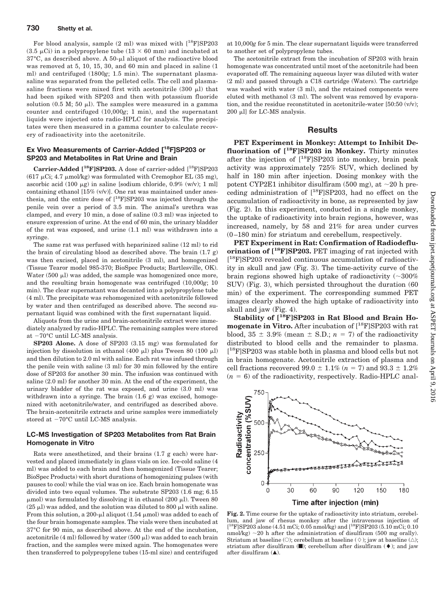For blood analysis, sample (2 ml) was mixed with [18F]SP203  $(3.5 \,\mu\text{Ci})$  in a polypropylene tube  $(13 \times 60 \,\text{mm})$  and incubated at  $37^{\circ}$ C, as described above. A  $50$ - $\mu$ l aliquot of the radioactive blood was removed at 5, 10, 15, 30, and 60 min and placed in saline (1 ml) and centrifuged (1800*g*; 1.5 min). The supernatant plasmasaline was separated from the pelleted cells. The cell and plasmasaline fractions were mixed first with acetonitrile  $(300 \mu l)$  that had been spiked with SP203 and then with potassium fluoride solution (0.5 M; 50  $\mu$ ). The samples were measured in a gamma counter and centrifuged (10,000*g*; 1 min), and the supernatant liquids were injected onto radio-HPLC for analysis. The precipitates were then measured in a gamma counter to calculate recovery of radioactivity into the acetonitrile.

# **Ex Vivo Measurements of Carrier-Added [18F]SP203 or SP203 and Metabolites in Rat Urine and Brain**

**Carrier-Added [18F]SP203.** A dose of carrier-added [18F]SP203  $(617 \text{ }\mu\text{Ci}; 4.7 \text{ }\mu\text{mol/kg})$  was formulated with Cremophor EL  $(35 \text{ }\text{mg})$ . ascorbic acid (100  $\mu$ g) in saline [sodium chloride, 0.9% (w/v); 1 ml] containing ethanol  $[15\% (v/v)]$ . One rat was maintained under anesthesia, and the entire dose of  $[$ <sup>18</sup>F $]$ SP203 was injected through the penile vein over a period of 3.5 min. The animal's urethra was clamped, and every 10 min, a dose of saline (0.3 ml) was injected to ensure expression of urine. At the end of 60 min, the urinary bladder of the rat was exposed, and urine (1.1 ml) was withdrawn into a syringe.

The same rat was perfused with heparinized saline (12 ml) to rid the brain of circulating blood as described above. The brain  $(1.7 \text{ g})$ was then excised, placed in acetonitrile (3 ml), and homogenized (Tissue Tearor model 985-370; BioSpec Products; Bartlesville, OK). Water (500  $\mu$ ) was added, the sample was homogenized once more, and the resulting brain homogenate was centrifuged (10,000*g*; 10 min). The clear supernatant was decanted into a polypropylene tube (4 ml). The precipitate was rehomogenized with acetonitrile followed by water and then centrifuged as described above. The second supernatant liquid was combined with the first supernatant liquid.

Aliquots from the urine and brain-acetonitrile extract were immediately analyzed by radio-HPLC. The remaining samples were stored at  $-70^{\circ}$ C until LC-MS analysis.

**SP203 Alone.** A dose of SP203 (3.15 mg) was formulated for injection by dissolution in ethanol (400  $\mu$ l) plus Tween 80 (100  $\mu$ l) and then dilution to 2.0 ml with saline. Each rat was infused through the penile vein with saline (3 ml) for 30 min followed by the entire dose of SP203 for another 30 min. The infusion was continued with saline (2.0 ml) for another 30 min. At the end of the experiment, the urinary bladder of the rat was exposed, and urine (3.0 ml) was withdrawn into a syringe. The brain  $(1.6 \text{ g})$  was excised, homogenized with acetonitrile/water, and centrifuged as described above. The brain-acetonitrile extracts and urine samples were immediately stored at  $-70^{\circ}$ C until LC-MS analysis.

## **LC-MS Investigation of SP203 Metabolites from Rat Brain Homogenate in Vitro**

Rats were anesthetized, and their brains (1.7 g each) were harvested and placed immediately in glass vials on ice. Ice-cold saline (4 ml) was added to each brain and then homogenized (Tissue Tearer; BioSpec Products) with short durations of homogenizing pulses (with pauses to cool) while the vial was on ice. Each brain homogenate was divided into two equal volumes. The substrate SP203 (1.6 mg; 6.15  $\mu$ mol) was formulated by dissolving it in ethanol (200  $\mu$ l). Tween 80  $(25 \mu)$  was added, and the solution was diluted to 800  $\mu$ l with saline. From this solution, a 200- $\mu$ l aliquot (1.54  $\mu$ mol) was added to each of the four brain homogenate samples. The vials were then incubated at 37°C for 90 min, as described above. At the end of the incubation, acetonitrile (4 ml) followed by water (500  $\mu$ l) was added to each brain fraction, and the samples were mixed again. The homogenates were then transferred to polypropylene tubes (15-ml size) and centrifuged

at 10,000*g* for 5 min. The clear supernatant liquids were transferred to another set of polypropylene tubes.

The acetonitrile extract from the incubation of SP203 with brain homogenate was concentrated until most of the acetonitrile had been evaporated off. The remaining aqueous layer was diluted with water (2 ml) and passed through a C18 cartridge (Waters). The cartridge was washed with water (3 ml), and the retained components were eluted with methanol (3 ml). The solvent was removed by evaporation, and the residue reconstituted in acetonitrile-water  $[50:50 \, (v/v);$  $200$  µl] for LC-MS analysis.

#### **Results**

**PET Experiment in Monkey: Attempt to Inhibit Defluorination of [18F]SP203 in Monkey.** Thirty minutes after the injection of  $[$ <sup>18</sup>F $]$ SP203 into monkey, brain peak activity was approximately 725% SUV, which declined by half in 180 min after injection. Dosing monkey with the potent CYP2E1 inhibitor disulfiram  $(500 \text{ mg})$ , at  $\sim 20 \text{ h}$  preceding administration of  $[$ <sup>18</sup>F]SP203, had no effect on the accumulation of radioactivity in bone, as represented by jaw (Fig. 2). In this experiment, conducted in a single monkey, the uptake of radioactivity into brain regions, however, was increased, namely, by 58 and 21% for area under curves (0 –180 min) for striatum and cerebellum, respectively.

**PET Experiment in Rat: Confirmation of Radiodefluorination of [18F]SP203.** PET imaging of rat injected with [ 18F]SP203 revealed continuous accumulation of radioactivity in skull and jaw (Fig. 3). The time-activity curve of the brain regions showed high uptake of radioactivity ( $\sim\!300\%$ SUV) (Fig. 3), which persisted throughout the duration (60 min) of the experiment. The corresponding summed PET images clearly showed the high uptake of radioactivity into skull and jaw (Fig. 4).

**Stability of [18F]SP203 in Rat Blood and Brain Homogenate in Vitro.** After incubation of  $[^{18}F]$ SP203 with rat blood,  $35 \pm 3.9\%$  (mean  $\pm$  S.D.; *n* = 7) of the radioactivity distributed to blood cells and the remainder to plasma. [ 18F]SP203 was stable both in plasma and blood cells but not in brain homogenate. Acetonitrile extraction of plasma and cell fractions recovered 99.0  $\pm$  1.1% ( $n = 7$ ) and 93.3  $\pm$  1.2%  $(n = 6)$  of the radioactivity, respectively. Radio-HPLC anal-



**Fig. 2.** Time course for the uptake of radioactivity into striatum, cerebellum, and jaw of rhesus monkey after the intravenous injection of [ 18F]SP203 alone (4.51 mCi; 0.05 nmol/kg) and [18F]SP203 (5.10 mCi; 0.10 nmol/kg) 20 h after the administration of disulfiram (500 mg orally). Striatum at baseline (O); cerebellum at baseline ( $\diamond$ ); jaw at baseline ( $\triangle$ ); striatum after disulfiram  $(\blacksquare)$ ; cerebellum after disulfiram  $(\blacklozenge)$ ; and jaw after disulfiram  $(\triangle)$ .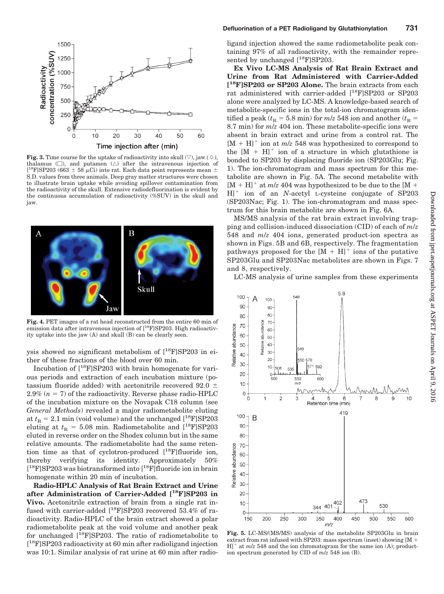

**Fig. 3.** Time course for the uptake of radioactivity into skull  $(\nabla)$ , jaw  $(\Diamond)$ , thalamus  $(\Box)$ , and putamen  $(\triangle)$  after the intravenous injection of [<sup>18</sup>F]SP203 (663  $\pm$  58 µCi) into rat. Each data point represents mean  $\pm$ S.D. values from three animals. Deep gray matter structures were chosen to illustrate brain uptake while avoiding spillover contamination from the radioactivity of the skull. Extensive radiodefluorination is evident by the continuous accumulation of radioactivity (%SUV) in the skull and jaw.



**Fig. 4.** PET images of a rat head reconstructed from the entire 60 min of emission data after intravenous injection of [<sup>18</sup>F]SP203. High radioactivity uptake into the jaw (A) and skull (B) can be clearly seen.

ysis showed no significant metabolism of  $[^{18}F]$ SP203 in either of these fractions of the blood over 60 min.

Incubation of [18F]SP203 with brain homogenate for various periods and extraction of each incubation mixture (potassium fluoride added) with acetonitrile recovered 92.0  $\pm$  $2.9\%$  ( $n = 7$ ) of the radioactivity. Reverse phase radio-HPLC of the incubation mixture on the Novapak C18 column (see *General Methods*) revealed a major radiometabolite eluting at  $t<sub>R</sub> = 2.1$  min (void volume) and the unchanged  $[$ <sup>18</sup>F]SP203 eluting at  $t<sub>R</sub> = 5.08$  min. Radiometabolite and [<sup>18</sup>F]SP203 eluted in reverse order on the Shodex column but in the same relative amounts. The radiometabolite had the same retention time as that of cyclotron-produced  $[$ <sup>18</sup>F]fluoride ion, thereby verifying its identity. Approximately 50% [ 18F]SP203 was biotransformed into [18F]fluoride ion in brain homogenate within 20 min of incubation.

**Radio-HPLC Analysis of Rat Brain Extract and Urine after Administration of Carrier-Added [18F]SP203 in Vivo.** Acetonitrile extraction of brain from a single rat infused with carrier-added  $[$ <sup>18</sup>F]SP203 recovered 53.4% of radioactivity. Radio-HPLC of the brain extract showed a polar radiometabolite peak at the void volume and another peak for unchanged  $[$ <sup>18</sup>F]SP203. The ratio of radiometabolite to [ 18F]SP203 radioactivity at 60 min after radioligand injection was 10:1. Similar analysis of rat urine at 60 min after radioligand injection showed the same radiometabolite peak containing 97% of all radioactivity, with the remainder represented by unchanged  $[$ <sup>18</sup>F]SP203.

**Ex Vivo LC-MS Analysis of Rat Brain Extract and Urine from Rat Administered with Carrier-Added [ 18F]SP203 or SP203 Alone.** The brain extracts from each rat administered with carrier-added [18F]SP203 or SP203 alone were analyzed by LC-MS. A knowledge-based search of metabolite-specific ions in the total-ion chromatogram identified a peak ( $t_R$  = 5.8 min) for  $m/z$  548 ion and another ( $t_R$  = 8.7 min) for *m*/*z* 404 ion. These metabolite-specific ions were absent in brain extract and urine from a control rat. The  $[M + H]$ <sup>+</sup> ion at *m/z* 548 was hypothesized to correspond to the  $[M + H]$ <sup>+</sup> ion of a structure in which glutathione is bonded to SP203 by displacing fluoride ion (SP203Glu; Fig. 1). The ion-chromatogram and mass spectrum for this metabolite are shown in Fig. 5A. The second metabolite with  $[M + H]$ <sup>+</sup> at *m/z* 404 was hypothesized to be due to the  $[M + H]$ H]<sup>+</sup> ion of an *N*-acetyl L-cysteine conjugate of SP203 (SP203Nac; Fig. 1). The ion-chromatogram and mass spectrum for this brain metabolite are shown in Fig. 6A.

MS/MS analysis of the rat brain extract involving trapping and collision-induced dissociation (CID) of each of *m*/*z* 548 and *m*/*z* 404 ions, generated product-ion spectra as shown in Figs. 5B and 6B, respectively. The fragmentation pathways proposed for the  $[M + H]$ <sup>+</sup> ions of the putative SP203Glu and SP203Nac metabolites are shown in Figs. 7 and 8, respectively.

LC-MS analysis of urine samples from these experiments



**Fig. 5.** LC-MS/(MS/MS) analysis of the metabolite SP203Glu in brain extract from rat infused with SP203: mass spectrum (inset) showing [M  $H$ <sup>+</sup> at  $m/z$  548 and the ion chromatogram for the same ion (A); production spectrum generated by CID of *m*/*z* 548 ion (B).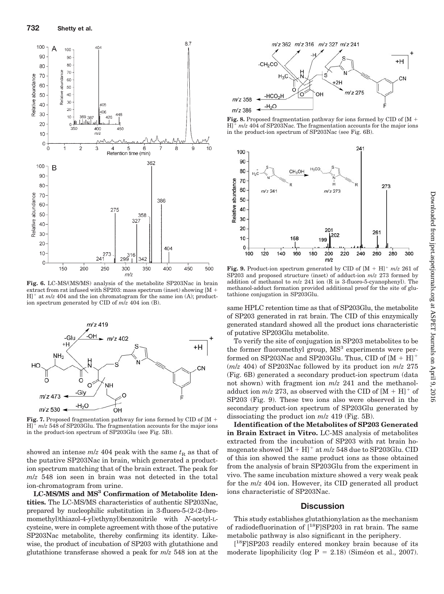

**Fig. 6.** LC-MS/(MS/MS) analysis of the metabolite SP203Nac in brain extract from rat infused with SP203: mass spectrum (inset) showing  $[M +]$  $H$ <sup>+</sup> at  $m/z$  404 and the ion chromatogram for the same ion (A); production spectrum generated by CID of *m*/*z* 404 ion (B).



**Fig. 7.** Proposed fragmentation pathway for ions formed by CID of  $[M +]$  $H$ <sup> $+$ </sup>  $m/z$  548 of SP203Glu. The fragmentation accounts for the major ions in the product-ion spectrum of SP203Glu (see Fig. 5B).

showed an intense  $m/z$  404 peak with the same  $t<sub>R</sub>$  as that of the putative SP203Nac in brain, which generated a production spectrum matching that of the brain extract. The peak for *m*/*z* 548 ion seen in brain was not detected in the total ion-chromatogram from urine.

**LC-MS/MS and MS3 Confirmation of Metabolite Identities.** The LC-MS/MS characteristics of authentic SP203Nac, prepared by nucleophilic substitution in 3-fluoro-5-(2-(2-(bromomethyl)thiazol-4-yl)ethynyl)benzonitrile with *N*-acetyl-Lcysteine, were in complete agreement with those of the putative SP203Nac metabolite, thereby confirming its identity. Likewise, the product of incubation of SP203 with glutathione and glutathione transferase showed a peak for *m*/*z* 548 ion at the



**Fig. 8.** Proposed fragmentation pathway for ions formed by CID of [M + H] *m*/*z* 404 of SP203Nac. The fragmentation accounts for the major ions in the product-ion spectrum of SP203Nac (see Fig. 6B).



**Fig. 9.** Product-ion spectrum generated by CID of  $[M + H]$ <sup>+</sup>  $m/z$  261 of SP203 and proposed structure (inset) of adduct-ion *m*/*z* 273 formed by addition of methanol to *m*/*z* 241 ion (R is 3-fluoro-5-cyanophenyl). The methanol-adduct formation provided additional proof for the site of glutathione conjugation in SP203Glu.

same HPLC retention time as that of SP203Glu, the metabolite of SP203 generated in rat brain. The CID of this enzymically generated standard showed all the product ions characteristic of putative SP203Glu metabolite.

To verify the site of conjugation in SP203 metabolites to be the former fluoromethyl group, MS<sup>3</sup> experiments were performed on SP203Nac and SP203Glu. Thus, CID of  $[M + H]$ <sup>+</sup> (*m*/*z* 404) of SP203Nac followed by its product ion *m*/*z* 275 (Fig. 6B) generated a secondary product-ion spectrum (data not shown) with fragment ion *m*/*z* 241 and the methanoladduct ion  $m/z$  273, as observed with the CID of  $[M + H]$ <sup>+</sup> of SP203 (Fig. 9). These two ions also were observed in the secondary product-ion spectrum of SP203Glu generated by dissociating the product ion *m*/*z* 419 (Fig. 5B).

**Identification of the Metabolites of SP203 Generated in Brain Extract in Vitro.** LC-MS analysis of metabolites extracted from the incubation of SP203 with rat brain homogenate showed  $[M + H]$ <sup>+</sup> at  $m/z$  548 due to SP203Glu. CID of this ion showed the same product ions as those obtained from the analysis of brain SP203Glu from the experiment in vivo. The same incubation mixture showed a very weak peak for the *m*/*z* 404 ion. However, its CID generated all product ions characteristic of SP203Nac.

## **Discussion**

This study establishes glutathionylation as the mechanism of radiodefluorination of [18F]SP203 in rat brain. The same metabolic pathway is also significant in the periphery.

[ 18F]SP203 readily entered monkey brain because of its moderate lipophilicity (log  $P = 2.18$ ) (Siméon et al., 2007).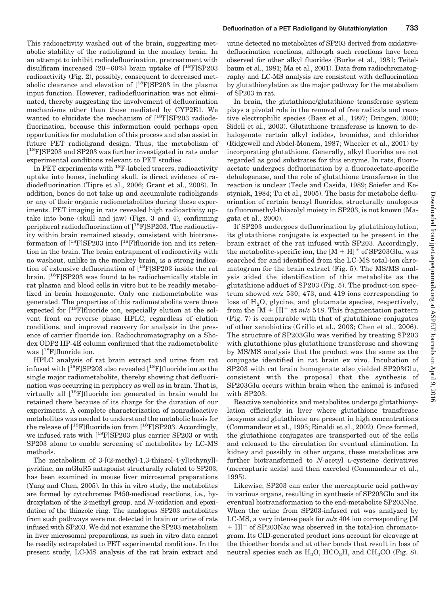This radioactivity washed out of the brain, suggesting metabolic stability of the radioligand in the monkey brain. In an attempt to inhibit radiodefluorination, pretreatment with disulfiram increased  $(20-60\%)$  brain uptake of  $[^{18}F]$ SP203 radioactivity (Fig. 2), possibly, consequent to decreased metabolic clearance and elevation of  $[$ <sup>18</sup>F $]$ SP203 in the plasma input function. However, radiodefluorination was not eliminated, thereby suggesting the involvement of defluorination mechanisms other than those mediated by CYP2E1. We wanted to elucidate the mechanism of  $[^{18}F]$ SP203 radiodefluorination, because this information could perhaps open opportunities for modulation of this process and also assist in future PET radioligand design. Thus, the metabolism of [ 18F]SP203 and SP203 was further investigated in rats under experimental conditions relevant to PET studies.

In PET experiments with  $^{18}$ F-labeled tracers, radioactivity uptake into bones, including skull, is direct evidence of radiodefluorination (Tipre et al., 2006; Grant et al., 2008). In addition, bones do not take up and accumulate radioligands or any of their organic radiometabolites during these experiments. PET imaging in rats revealed high radioactivity uptake into bone (skull and jaw) (Figs. 3 and 4), confirming peripheral radiodefluorination of  $[$ <sup>18</sup>F]SP203. The radioactivity within brain remained steady, consistent with biotransformation of  $[^{18}F]$ SP203 into  $[^{18}F]$ fluoride ion and its retention in the brain. The brain entrapment of radioactivity with no washout, unlike in the monkey brain, is a strong indication of extensive defluorination of  $[^{18}F]$ SP203 inside the rat brain.  $[$ <sup>18</sup>F $]$ SP203 was found to be radiochemically stable in rat plasma and blood cells in vitro but to be readily metabolized in brain homogenate. Only one radiometabolite was generated. The properties of this radiometabolite were those expected for  $[$ <sup>18</sup>F $]$ fluoride ion, especially elution at the solvent front on reverse phase HPLC, regardless of elution conditions, and improved recovery for analysis in the presence of carrier fluoride ion. Radiochromatography on a Shodex ODP2 HP-4E column confirmed that the radiometabolite was [<sup>18</sup>F]fluoride ion.

HPLC analysis of rat brain extract and urine from rat infused with  $[$ <sup>18</sup>F]SP203 also revealed  $[$ <sup>18</sup>F]fluoride ion as the single major radiometabolite, thereby showing that defluorination was occurring in periphery as well as in brain. That is, virtually all [18F]fluoride ion generated in brain would be retained there because of its charge for the duration of our experiments. A complete characterization of nonradioactive metabolites was needed to understand the metabolic basis for the release of  $[$ <sup>18</sup>F]fluoride ion from  $[$ <sup>18</sup>F]SP203. Accordingly, we infused rats with  $[$ <sup>18</sup>F]SP203 plus carrier SP203 or with SP203 alone to enable screening of metabolites by LC-MS methods.

The metabolism of 3-[(2-methyl-1,3-thiazol-4-yl)ethynyl] pyridine, an mGluR5 antagonist structurally related to SP203, has been examined in mouse liver microsomal preparations (Yang and Chen, 2005). In this in vitro study, the metabolites are formed by cytochromes P450-mediated reactions, i.e., hydroxylation of the 2-methyl group, and *N*-oxidation and epoxidation of the thiazole ring. The analogous SP203 metabolites from such pathways were not detected in brain or urine of rats infused with SP203. We did not examine the SP203 metabolism in liver microsomal preparations, as such in vitro data cannot be readily extrapolated to PET experimental conditions. In the present study, LC-MS analysis of the rat brain extract and

urine detected no metabolites of SP203 derived from oxidativedefluorination reactions, although such reactions have been observed for other alkyl fluorides (Burke et al., 1981; Teitelbaum et al., 1981; Ma et al., 2001). Data from radiochromatography and LC-MS analysis are consistent with defluorination by glutathionylation as the major pathway for the metabolism of SP203 in rat.

In brain, the glutathione/glutathione transferase system plays a pivotal role in the removal of free radicals and reactive electrophilic species (Baez et al., 1997; Dringen, 2000; Sidell et al., 2003). Glutathione transferase is known to dehalogenate certain alkyl iodides, bromides, and chlorides (Ridgewell and Abdel-Monem, 1987; Wheeler et al., 2001) by incorporating glutathione. Generally, alkyl fluorides are not regarded as good substrates for this enzyme. In rats, fluoroacetate undergoes defluorination by a fluoroacetate-specific dehalogenase, and the role of glutathione transferase in the reaction is unclear (Tecle and Casida, 1989; Soiefer and Kostyniak, 1984; Tu et al., 2005). The basis for metabolic defluorination of certain benzyl fluorides, structurally analogous to fluoromethyl-thiazolyl moiety in SP203, is not known (Magata et al., 2000).

If SP203 undergoes defluorination by glutathionylation, its glutathione conjugate is expected to be present in the brain extract of the rat infused with SP203. Accordingly, the metabolite-specific ion, the  $[M + H]$ <sup>+</sup> of SP203Glu, was searched for and identified from the LC-MS total-ion chromatogram for the brain extract (Fig. 5). The MS/MS analysis aided the identification of this metabolite as the glutathione adduct of SP203 (Fig. 5). The product-ion spectrum showed *m*/*z* 530, 473, and 419 ions corresponding to loss of  $H<sub>2</sub>O$ , glycine, and glutamate species, respectively, from the  $[M + H]^+$  at  $m/z$  548. This fragmentation pattern (Fig. 7) is comparable with that of glutathione conjugates of other xenobiotics (Grillo et al., 2003; Chen et al., 2006). The structure of SP203Glu was verified by treating SP203 with glutathione plus glutathione transferase and showing by MS/MS analysis that the product was the same as the conjugate identified in rat brain ex vivo. Incubation of SP203 with rat brain homogenate also yielded SP203Glu, consistent with the proposal that the synthesis of SP203Glu occurs within brain when the animal is infused with SP203.

Reactive xenobiotics and metabolites undergo glutathionylation efficiently in liver where glutathione transferase isozymes and glutathione are present in high concentrations (Commandeur et al., 1995; Rinaldi et al., 2002). Once formed, the glutathione conjugates are transported out of the cells and released to the circulation for eventual elimination. In kidney and possibly in other organs, these metabolites are further biotransformed to *N*-acetyl L-cysteine derivatives (mercapturic acids) and then excreted (Commandeur et al., 1995).

Likewise, SP203 can enter the mercapturic acid pathway in various organs, resulting in synthesis of SP203Glu and its eventual biotransformation to the end-metabolite SP203Nac. When the urine from SP203-infused rat was analyzed by LC-MS, a very intense peak for *m*/*z* 404 ion corresponding [M  $+$  H]<sup> $+$ </sup> of SP203Nac was observed in the total-ion chromatogram. Its CID-generated product ions account for cleavage at the thioether bonds and at other bonds that result in loss of neutral species such as  $H_2O$ ,  $HCO_2H$ , and  $CH_2CO$  (Fig. 8).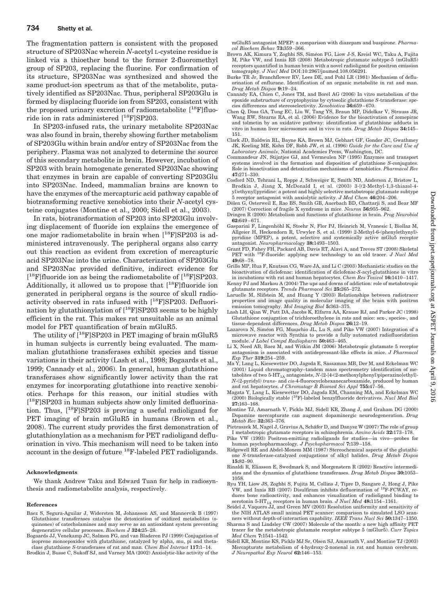The fragmentation pattern is consistent with the proposed structure of SP203Nac wherein *N*-acetyl L-cysteine residue is linked via a thioether bond to the former 2-fluoromethyl group of SP203, replacing the fluorine. For confirmation of its structure, SP203Nac was synthesized and showed the same product-ion spectrum as that of the metabolite, putatively identified as SP203Nac. Thus, peripheral SP203Glu is formed by displacing fluoride ion from SP203, consistent with the proposed urinary excretion of radiometabolite  $[$ <sup>18</sup>F $]$ fluoride ion in rats administered [<sup>18</sup>F]SP203.

In SP203-infused rats, the urinary metabolite SP203Nac was also found in brain, thereby showing further metabolism of SP203Glu within brain and/or entry of SP203Nac from the periphery. Plasma was not analyzed to determine the source of this secondary metabolite in brain. However, incubation of SP203 with brain homogenate generated SP203Nac showing that enzymes in brain are capable of converting SP203Glu into SP203Nac. Indeed, mammalian brains are known to have the enzymes of the mercapturic acid pathway capable of biotransforming reactive xenobiotics into their *N*-acetyl cysteine conjugates (Montine et al., 2000; Sidell et al., 2003).

In rats, biotransformation of SP203 into SP203Glu involving displacement of fluoride ion explains the emergence of one major radiometabolite in brain when [18F]SP203 is administered intravenously. The peripheral organs also carry out this reaction as evident from excretion of mercapturic acid SP203Nac into the urine. Characterization of SP203Glu and SP203Nac provided definitive, indirect evidence for  $[$ <sup>18</sup>F]fluoride ion as being the radiometabolite of  $[$ <sup>18</sup>F]SP203. Additionally, it allowed us to propose that  $[$ <sup>18</sup>F]fluoride ion generated in peripheral organs is the source of skull radioactivity observed in rats infused with  $[$ <sup>18</sup>F]SP203. Defluorination by glutathionylation of  $[$ <sup>18</sup>F]SP203 seems to be highly efficient in the rat. This makes rat unsuitable as an animal model for PET quantification of brain mGluR5.

The utility of  $[$ <sup>18</sup>F]SP203 in PET imaging of brain mGluR5 in human subjects is currently being evaluated. The mammalian glutathione transferases exhibit species and tissue variations in their activity (Lash et al., 1998; Bogaards et al., 1999; Cannady et al., 2006). In general, human glutathione transferases show significantly lower activity than the rat enzymes for incorporating glutathione into reactive xenobiotics. Perhaps for this reason, our initial studies with [ 18F]SP203 in human subjects show only limited defluorination. Thus,  $[$ <sup>18</sup>F $]$ SP203 is proving a useful radioligand for PET imaging of brain mGluR5 in humans (Brown et al., 2008). The current study provides the first demonstration of glutathionylation as a mechanism for PET radioligand defluorination in vivo. This mechanism will need to be taken into account in the design of future <sup>18</sup>F-labeled PET radioligands.

#### **Acknowledgments**

We thank Andrew Taku and Edward Tuan for help in radiosynthesis and radiometabolite analysis, respectively.

#### **References**

- Baez S, Segura-Aguilar J, Widersten M, Johansson AS, and Mannervik B (1997) Glutathione transferases catalyse the detoxication of oxidized metabolites (oquinones) of catecholamines and may serve as an antioxidant system preventing degenerative cellular processes. *Biochem J* **324:**25–28.
- Bogaards JJ, Venekamp JC, Salmon FG, and van Bladeren PJ (1999) Conjugation of isoprene monoepoxides with glutathione, catalyzed by alpha, mu, pi and thetaclass glutathione *S*-transferases of rat and man. *Chem Biol Interact* **117:**1–14.
- Brodkin J, Busse C, Sukoff SJ, and Varney MA (2002) Anxiolytic-like activity of the

mGluR5 antagonist MPEP: a comparison with diazepam and buspirone. *Pharmacol Biochem Behav* **73:**359 –366.

- Brown AK, Kimura Y, Zoghbi SS, Siméon FG, Liow J-S, Kreisl WC, Taku A, Fujita M, Pike VW, and Innis RB (2008) Metabotropic glutamate subtype-5 (mGluR5) receptors quantified in human brain with a novel radioligand for positron emission tomography. *J Nucl Med* DOI:10.2967/jnumed.108.056291.
- Burke TR Jr, Branchflower RV, Lees DE, and Pohl LR (1981) Mechanism of defluorination of enflurane. Identification of an organic metabolite in rat and man. *Drug Metab Dispos* **9:**19 –24.
- Cannady EA, Chien C, Jones TM, and Borel AG (2006) In vitro metabolism of the epoxide substructure of cryptophycins by cytosolic glutathione *S*-transferase: species differences and stereoselectivity. *Xenobiotica* **36:**659 – 670.
- Chen Q, Doss GA, Tung EC, Liu W, Tang YS, Braun MP, Didolkar V, Strauss JR, Wang RW, Stearns RA, et al. (2006) Evidence for the bioactivation of zomepirac and tolmetin by an oxidative pathway: identification of glutathione adducts in vitro in human liver microsomes and in vivo in rats. *Drug Metab Dispos* **34:**145– 151.
- Clark JD, Baldwin RL, Bayne KA, Brown MJ, Gebhart GF, Gonder JC, Gwathmey JK, Keeling ME, Kohn DF, Robb JW, et al. (1996) *Guide for the Care and Use of Laboratory Animals*, National Academies Press, Washington, DC.
- Commandeur JN, Stijntjes GJ, and Vermeulen NP (1995) Enzymes and transport systems involved in the formation and disposition of glutathione *S*-conjugates. Role in bioactivation and detoxication mechanisms of xenobiotics. *Pharmacol Rev* **47:**271–330.
- Cosford ND, Tehrani L, Roppe J, Schweiger E, Smith ND, Anderson J, Bristow L, Brodkin J, Jiang X, McDonald I, et al. (2003) 3-[(2-Methyl-1,3-thiazol-4 yl)ethynyl]pyridine: a potent and highly selective metabotropic glutamate subtype 5 receptor antagonist with anxiolytic activity. *J Med Chem* **46:**204 –206.
- Dölen G, Osterweil E, Rao BS, Smith GB, Auerbach BD, Chattarji S, and Bear MF (2007) Correction of fragile X syndrome in mice. *Neuron* **56:**955–962.
- Dringen R (2000) Metabolism and functions of glutathione in brain. *Prog Neurobiol* **62:**649 – 671.
- Gasparini F, Lingenhöhl K, Stoehr N, Flor PJ, Heinrich M, Vranesic I, Biollaz M, Allgeier H, Heckendorn R, Urwyler S, et al. (1999) 2-Methyl-6-(phenylethynyl) pyridine (MPEP), a potent, selective and systemically active mGlu5 receptor antagonist. *Neuropharmacology* **38:**1493–1503.
- Grant FD, Fahey FH, Packard AB, Davis RT, Alavi A, and Treves ST (2008) Skeletal PET with 18F-fluoride: applying new technology to an old tracer. *J Nucl Med* **49:**68 –78.
- Grillo MP, Hua F, Knutson CG, Ware JA, and Li C (2003) Mechanistic studies on the bioactivation of diclofenac: identification of diclofenac-*S*-acyl-glutathione in vitro in incubations with rat and human hepatocytes. *Chem Res Toxicol* **16:**1410 –1417.
- Kenny PJ and Markou A (2004) The ups and downs of addiction: role of metabotropic glutamate receptors. *Trends Pharmacol Sci* **25:**265–272. Laruelle M, Slifstein M, and Huang Y (2003) Relationships between radiotracer
- properties and image quality in molecular imaging of the brain with positron emission tomography. *Mol Imaging Biol* **5:**363–375.
- Lash LH, Qian W, Putt DA, Jacobs K, Elfarra AA, Krause RJ, and Parker JC (1998) Glutathione conjugation of trichloroethylene in rats and mice: sex-, species-, and tissue-dependent differences. *Drug Metab Dispos* **26:**12–19.
- Lazarova  $\hat{N}$ , Siméon FG, Musachio JL, Lu S, and Pike VW (2007) Integration of a microwave reactor with Synthia to provide a fully automated radiofluoridation module. *J Label Compd Radiopharm* **50:**463– 465.
- Li X, Need AB, Baez M, and Witkin JM (2006) Metabotropic glutamate 5 receptor antagonism is associated with antidepressant-like effects in mice. *J Pharmacol Exp Ther* **319:**254 –259.
- Ma Y, Lang L, Kiesewetter DO, Jagoda E, Sassaman MB, Der M, and Eckelman WC (2001) Liquid chromatography–tandem mass spectrometry identification of metabolites of two 5-HT<sub>1A</sub> antagonists, *N*-{2-[4-(2-methoxylphenyl)piperazino]ethyl}-*N*-(2-pyridyl) *trans*- and *cis*-4-fluorocyclohexanecarboxamide, produced by human and rat hepatocytes. *J Chromatogr B Biomed Sci Appl* **755:**47–56.
- Magata Y, Lang L, Kiesewetter DO, Jagoda EM, Channing MA, and Eckelman WC (2000) Biologically stable [18F]-labeled benzylfluoride derivatives. *Nucl Med Biol* **27:**163–168.
- Montine TJ, Amarnath V, Picklo MJ, Sidell KR, Zhang J, and Graham DG (2000) Dopamine mercapturate can augment dopaminergic neurodegeneration. *Drug Metab Rev* **32:**363–376.
- Pietraszek M, Nagel J, Gravius A, Schäfer D, and Danysz W (2007) The role of group
- I metabotropic glutamate receptors in schizophrenia. *Amino Acids* **32:**173–178. Pike VW (1993) Positron-emitting radioligands for studies—in vivo—probes for human psychopharmacology. *J Psychopharmacol* **7:**139 –158.
- Ridgewell RE and Abdel-Monem MM (1987) Stereochemical aspects of the glutathione *S*-transferase-catalyzed conjugations of alkyl halides. *Drug Metab Dispos* **15:**82–90.
- Rinaldi R, Eliasson E, Swedmark S, and Morgenstern R (2002) Reactive intermediates and the dynamics of glutathione transferases. *Drug Metab Dispos* **30:**1053– 1058.
- Ryu YH, Liow JS, Zoghbi S, Fujita M, Collins J, Tipre D, Sangare J, Hong J, Pike VW, and Innis RB (2007) Disulfiram inhibits defluorination of <sup>18</sup>F-FCWAY, reduces bone radioactivity, and enhances visualization of radioligand binding to serotonin 5-HT<sub>1A</sub> receptors in human brain. *J Nucl Med* 48:1154-1161.
- Seidel J, Vaquero JJ, and Green MV (2003) Resolution uniformity and sensitivity of the NIH ATLAS small animal PET scanner: comparison to simulated LSO scanners without depth-of-interaction capability. *IEEE Trans Nucl Sci* **50:**1347–1350.
- Sharma S and Lindsley CW (2007) Molecule of the month: a new high affinity PET tracer for the metabotropic glutamate receptor subtype 5 (mGlur5). *Curr Topics Med Chem* **7:**1541–1542.
- Sidell KR, Montine KS, Picklo MJ Sr, Olsen SJ, Amarnath V, and Montine TJ (2003) Mercapturate metabolism of 4-hydroxy-2-nonenal in rat and human cerebrum. *J Neuropathol Exp Neurol* **62:**146 –153.